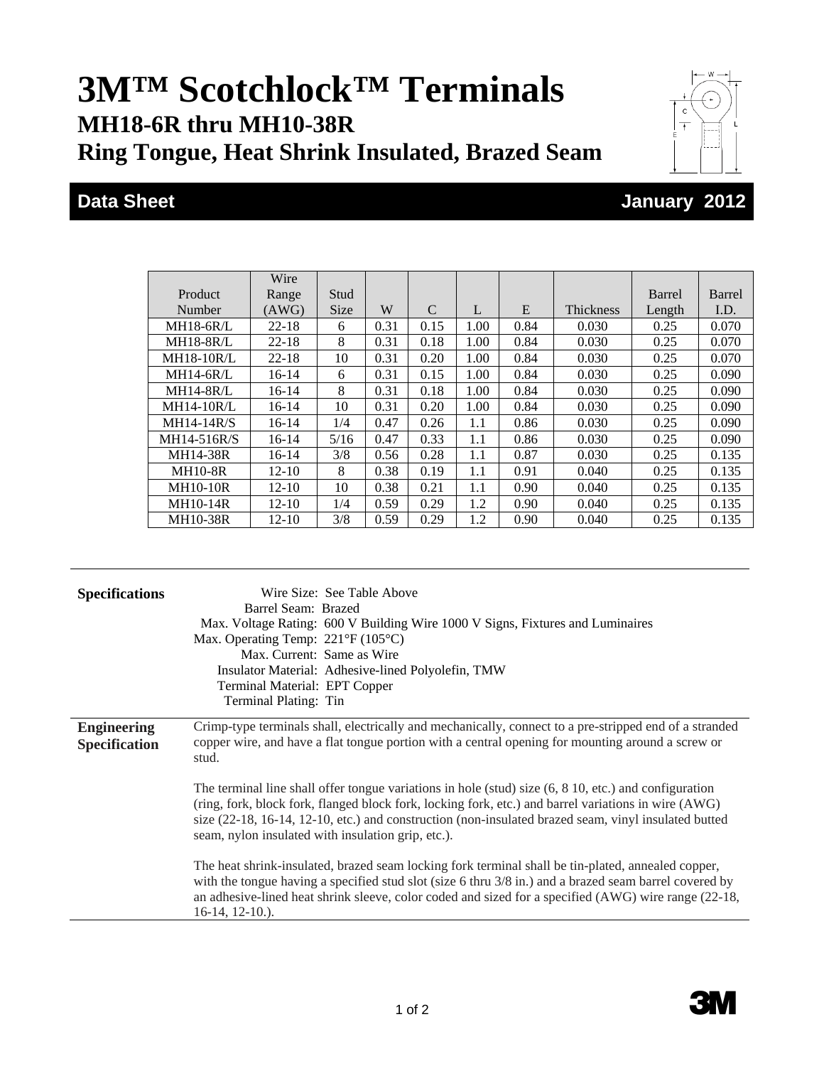## **3M™ Scotchlock™ Terminals MH18-6R thru MH10-38R Ring Tongue, Heat Shrink Insulated, Brazed Seam**





## **Data Sheet January 2012**

|                   | Wire      |             |      |      |      |      |                  |        |        |
|-------------------|-----------|-------------|------|------|------|------|------------------|--------|--------|
| Product           | Range     | Stud        |      |      |      |      |                  | Barrel | Barrel |
| Number            | (AWG)     | <b>Size</b> | W    | C    | L    | E    | <b>Thickness</b> | Length | I.D.   |
| <b>MH18-6R/L</b>  | $22 - 18$ | 6           | 0.31 | 0.15 | 1.00 | 0.84 | 0.030            | 0.25   | 0.070  |
| <b>MH18-8R/L</b>  | $22 - 18$ | 8           | 0.31 | 0.18 | 1.00 | 0.84 | 0.030            | 0.25   | 0.070  |
| <b>MH18-10R/L</b> | $22 - 18$ | 10          | 0.31 | 0.20 | 1.00 | 0.84 | 0.030            | 0.25   | 0.070  |
| $MH14-6R/L$       | $16-14$   | 6           | 0.31 | 0.15 | 1.00 | 0.84 | 0.030            | 0.25   | 0.090  |
| $MH14-8R/L$       | $16-14$   | 8           | 0.31 | 0.18 | 1.00 | 0.84 | 0.030            | 0.25   | 0.090  |
| <b>MH14-10R/L</b> | $16-14$   | 10          | 0.31 | 0.20 | 1.00 | 0.84 | 0.030            | 0.25   | 0.090  |
| $MH14-14R/S$      | $16-14$   | 1/4         | 0.47 | 0.26 | 1.1  | 0.86 | 0.030            | 0.25   | 0.090  |
| MH14-516R/S       | $16-14$   | 5/16        | 0.47 | 0.33 | 1.1  | 0.86 | 0.030            | 0.25   | 0.090  |
| MH14-38R          | 16-14     | 3/8         | 0.56 | 0.28 | 1.1  | 0.87 | 0.030            | 0.25   | 0.135  |
| <b>MH10-8R</b>    | $12 - 10$ | 8           | 0.38 | 0.19 | 1.1  | 0.91 | 0.040            | 0.25   | 0.135  |
| <b>MH10-10R</b>   | $12 - 10$ | 10          | 0.38 | 0.21 | 1.1  | 0.90 | 0.040            | 0.25   | 0.135  |
| <b>MH10-14R</b>   | $12 - 10$ | 1/4         | 0.59 | 0.29 | 1.2  | 0.90 | 0.040            | 0.25   | 0.135  |
| <b>MH10-38R</b>   | $12 - 10$ | 3/8         | 0.59 | 0.29 | 1.2  | 0.90 | 0.040            | 0.25   | 0.135  |

| <b>Specifications</b>                      | Wire Size: See Table Above<br>Barrel Seam: Brazed<br>Max. Voltage Rating: 600 V Building Wire 1000 V Signs, Fixtures and Luminaires<br>Max. Operating Temp: $221^{\circ}F(105^{\circ}C)$<br>Max. Current: Same as Wire<br>Insulator Material: Adhesive-lined Polyolefin, TMW<br>Terminal Material: EPT Copper<br>Terminal Plating: Tin                                                |  |  |  |
|--------------------------------------------|---------------------------------------------------------------------------------------------------------------------------------------------------------------------------------------------------------------------------------------------------------------------------------------------------------------------------------------------------------------------------------------|--|--|--|
| <b>Engineering</b><br><b>Specification</b> | Crimp-type terminals shall, electrically and mechanically, connect to a pre-stripped end of a stranded<br>copper wire, and have a flat tongue portion with a central opening for mounting around a screw or<br>stud.                                                                                                                                                                  |  |  |  |
|                                            | The terminal line shall offer tongue variations in hole (stud) size $(6, 8, 10, \text{etc.})$ and configuration<br>(ring, fork, block fork, flanged block fork, locking fork, etc.) and barrel variations in wire (AWG)<br>size (22-18, 16-14, 12-10, etc.) and construction (non-insulated brazed seam, vinyl insulated butted<br>seam, nylon insulated with insulation grip, etc.). |  |  |  |
|                                            | The heat shrink-insulated, brazed seam locking fork terminal shall be tin-plated, annealed copper,<br>with the tongue having a specified stud slot (size 6 thru 3/8 in.) and a brazed seam barrel covered by<br>an adhesive-lined heat shrink sleeve, color coded and sized for a specified (AWG) wire range (22-18,<br>$16-14$ , $12-10$ .).                                         |  |  |  |